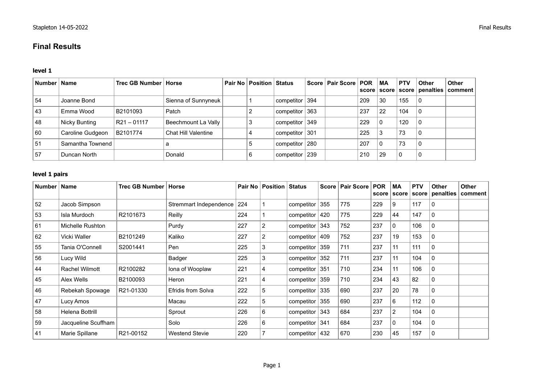# **Final Results**

### **level 1**

| Number   Name |                  | Trec GB Number   Horse |                            | <b>Pair No   Position   Status</b> |                    | Score   Pair Score   POR |     | ∣MA<br>score   score | <b>PTV</b> | Other | <b>Other</b><br>score penalties comment |
|---------------|------------------|------------------------|----------------------------|------------------------------------|--------------------|--------------------------|-----|----------------------|------------|-------|-----------------------------------------|
| 54            | Joanne Bond      |                        | Sienna of Sunnyneuk        |                                    | competitor $ 394 $ |                          | 209 | 30                   | 155        | 0     |                                         |
| 43            | Emma Wood        | B2101093               | Patch                      |                                    | competitor $ 363 $ |                          | 237 | 22                   | 104        | 0     |                                         |
| 48            | Nicky Bunting    | R21 – 01117            | Beechmount La Vally        | 3                                  | competitor $ 349 $ |                          | 229 | 0                    | 120        |       |                                         |
| 60            | Caroline Gudgeon | B2101774               | <b>Chat Hill Valentine</b> |                                    | competitor $ 301$  |                          | 225 |                      | 73         | 0     |                                         |
| .51           | Samantha Townend |                        |                            |                                    | competitor   280   |                          | 207 | 0                    | 73         | 0     |                                         |
| 57            | Duncan North     |                        | Donald                     | 6                                  | competitor $ 239 $ |                          | 210 | 29                   | 0          | 0     |                                         |

#### **level 1 pairs**

| Number | <b>Name</b>         | Trec GB Number | Horse                  | Pair No | <b>Position Status</b> |                    |     | Score   Pair Score | <b>POR</b> | <b>MA</b><br>score score | <b>PTV</b><br>score | <b>Other</b><br>penalties | <b>Other</b><br>∣comment |
|--------|---------------------|----------------|------------------------|---------|------------------------|--------------------|-----|--------------------|------------|--------------------------|---------------------|---------------------------|--------------------------|
| 52     | Jacob Simpson       |                | Stremmart Independence | 224     |                        | competitor         | 355 | 775                | 229        | 9                        | 117                 | $\mathbf{0}$              |                          |
| 53     | Isla Murdoch        | R2101673       | Reilly                 | 224     |                        | competitor         | 420 | 775                | 229        | 44                       | 147                 | 0                         |                          |
| 61     | Michelle Rushton    |                | Purdy                  | 227     | $\overline{c}$         | competitor         | 343 | 752                | 237        | 0                        | 106                 | $\mathbf{0}$              |                          |
| 62     | Vicki Waller        | B2101249       | Kaliko                 | 227     | 2                      | competitor         | 409 | 752                | 237        | 19                       | 153                 | $\mathbf{0}$              |                          |
| 55     | Tania O'Connell     | S2001441       | Pen                    | 225     | 3                      | competitor         | 359 | 711                | 237        | 11                       | 111                 | 0                         |                          |
| 56     | Lucy Wild           |                | Badger                 | 225     | 3                      | competitor         | 352 | 711                | 237        | 11                       | 104                 | 0                         |                          |
| 44     | Rachel Wilmott      | R2100282       | Iona of Wooplaw        | 221     | 4                      | competitor $ 351 $ |     | 710                | 234        | 11                       | 106                 | 0                         |                          |
| 45     | Alex Wells          | B2100093       | Heron                  | 221     | 4                      | competitor         | 359 | 710                | 234        | 43                       | 82                  | 0                         |                          |
| 46     | Rebekah Spowage     | R21-01330      | Efridis from Solva     | 222     | 5                      | competitor $ 335 $ |     | 690                | 237        | 20                       | 78                  | 0                         |                          |
| 47     | Lucy Amos           |                | Macau                  | 222     | 5                      | competitor         | 355 | 690                | 237        | 6                        | 112                 | $\mathbf{0}$              |                          |
| 58     | Helena Bottrill     |                | Sprout                 | 226     | 6                      | competitor         | 343 | 684                | 237        | $\overline{2}$           | 104                 | $\mathbf{0}$              |                          |
| 59     | Jacqueline Scuffham |                | Solo                   | 226     | 6                      | competitor         | 341 | 684                | 237        | $\mathbf{0}$             | 104                 | $\mathbf{0}$              |                          |
| 41     | Marie Spillane      | R21-00152      | <b>Westend Stevie</b>  | 220     | 7                      | competitor         | 432 | 670                | 230        | 45                       | 157                 | 0                         |                          |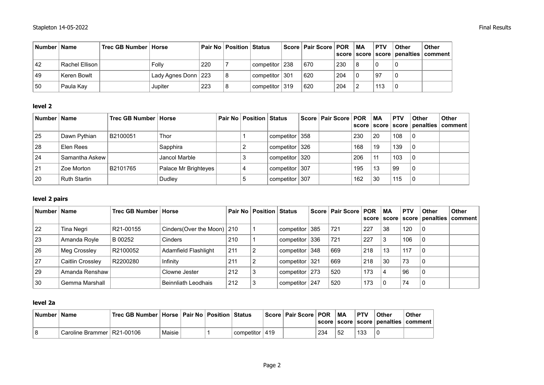| Number   Name |                | Trec GB Number   Horse |                                    |     | <b>Pair No Position Status</b> |                  | Score   Pair Score   POR |     | MA | <b>PTV</b> | <b>Other</b> | <b>Other</b><br>  score   score   score   penalties   comment |
|---------------|----------------|------------------------|------------------------------------|-----|--------------------------------|------------------|--------------------------|-----|----|------------|--------------|---------------------------------------------------------------|
| 42            | Rachel Ellison |                        | Folly                              | 220 |                                | competitor 238   | 670                      | 230 |    |            |              |                                                               |
| 49            | Keren Bowlt    |                        | <sup>∣</sup> Lady Agnes Donn   223 |     |                                | competitor 301   | 620                      | 204 |    | -97        |              |                                                               |
| 50            | Paula Kav      |                        | Jupiter                            | 223 |                                | competitor   319 | 620                      | 204 |    | 113        |              |                                                               |

### **level 2**

| Number   Name |                     | Trec GB Number   Horse |                      | <b>Pair No   Position   Status  </b> |                    | Score   Pair Score   POR |     | ∣ MA | <b>PTV</b> | <b>Other</b> | <b>Other</b><br>score   score   score   penalties   comment |
|---------------|---------------------|------------------------|----------------------|--------------------------------------|--------------------|--------------------------|-----|------|------------|--------------|-------------------------------------------------------------|
|               |                     |                        |                      |                                      |                    |                          |     |      |            |              |                                                             |
| 25            | Dawn Pythian        | B2100051               | Thor                 |                                      | competitor 358     |                          | 230 | 20   | 108        | -0           |                                                             |
| 28            | Elen Rees           |                        | Sapphira             |                                      | competitor 326     |                          | 168 | 19   | 139        | 0            |                                                             |
| 24            | Samantha Askew      |                        | Jancol Marble        |                                      | competitor 320     |                          | 206 | 11   | 103        | 0            |                                                             |
| 21            | Zoe Morton          | B2101765               | Palace Mr Brighteyes |                                      | competitor 307     |                          | 195 | 13   | 99         | 0            |                                                             |
| 20            | <b>Ruth Startin</b> |                        | Dudley               |                                      | competitor $ 307 $ |                          | 162 | 30   | 115        |              |                                                             |

### **level 2 pairs**

| Number | <b>Name</b>      | Trec GB Number   Horse |                              |     | Pair No   Position   Status |                                | Score   Pair Score   POR |     | ∣MA<br>score   score | <b>PTV</b> | <b>Other</b> | <b>Other</b><br>score penalties comment |
|--------|------------------|------------------------|------------------------------|-----|-----------------------------|--------------------------------|--------------------------|-----|----------------------|------------|--------------|-----------------------------------------|
| 22     | Tina Negri       | R21-00155              | Cinders(Over the Moon)   210 |     |                             | competitor   385               | 721                      | 227 | 38                   | 120        | l 0          |                                         |
| 23     | Amanda Royle     | B 00252                | Cinders                      | 210 |                             | competitor   336               | 721                      | 227 | 3                    | 106        | ∣0           |                                         |
| 26     | Meg Crossley     | R2100052               | Adamfield Flashlight         | 211 | 2                           | competitor $ 348\rangle$       | 669                      | 218 | 13                   | 117        | l 0          |                                         |
| 27     | Caitlin Crossley | R2200280               | Infinity                     | 211 |                             | competitor   321               | 669                      | 218 | 30                   | 73         | 0            |                                         |
| 29     | Amanda Renshaw   |                        | Clowne Jester                | 212 |                             | competitor   273               | 520                      | 173 | 4                    | 96         | 0            |                                         |
| 30     | Gemma Marshall   |                        | Beinnliath Leodhais          | 212 |                             | $\vert$ competitor $\vert$ 247 | 520                      | 173 | -0                   | 74         | 0            |                                         |

## **level 2a**

| Number | Name                         |        |  |             |     | Score   Pair Score   POR |     | МA | <b>PTV</b> | Other | Other<br>  score   score   score   penalties   comment |
|--------|------------------------------|--------|--|-------------|-----|--------------------------|-----|----|------------|-------|--------------------------------------------------------|
|        | Caroline Brammer   R21-00106 | Maisie |  | componentor | 419 |                          | 234 | 52 | 133        |       |                                                        |